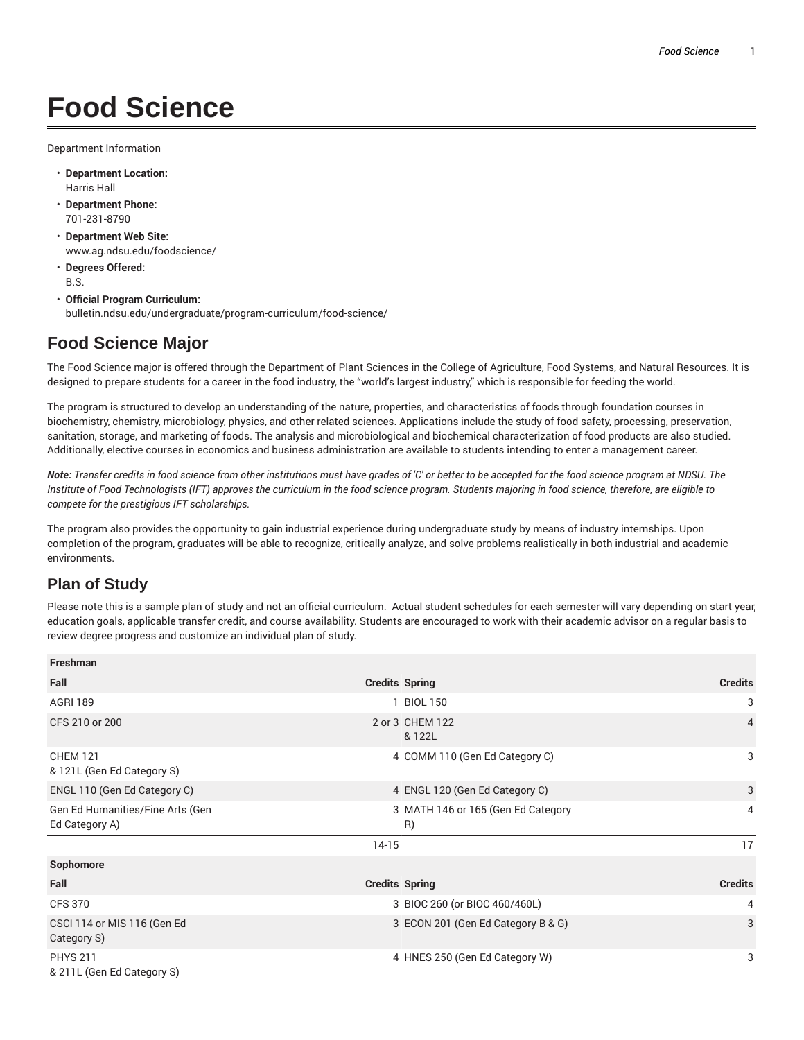## **Food Science**

Department Information

- **Department Location:** Harris Hall
- **Department Phone:** 701-231-8790
- **Department Web Site:** www.ag.ndsu.edu/foodscience/
- **Degrees Offered:** B.S.
- **Official Program Curriculum:** bulletin.ndsu.edu/undergraduate/program-curriculum/food-science/

## **Food Science Major**

The Food Science major is offered through the Department of Plant Sciences in the College of Agriculture, Food Systems, and Natural Resources. It is designed to prepare students for a career in the food industry, the "world's largest industry," which is responsible for feeding the world.

The program is structured to develop an understanding of the nature, properties, and characteristics of foods through foundation courses in biochemistry, chemistry, microbiology, physics, and other related sciences. Applications include the study of food safety, processing, preservation, sanitation, storage, and marketing of foods. The analysis and microbiological and biochemical characterization of food products are also studied. Additionally, elective courses in economics and business administration are available to students intending to enter a management career.

Note: Transfer credits in food science from other institutions must have grades of 'C' or better to be accepted for the food science program at NDSU. The Institute of Food Technologists (IFT) approves the curriculum in the food science program. Students majoring in food science, therefore, are eligible to *compete for the prestigious IFT scholarships.*

The program also provides the opportunity to gain industrial experience during undergraduate study by means of industry internships. Upon completion of the program, graduates will be able to recognize, critically analyze, and solve problems realistically in both industrial and academic environments.

## **Plan of Study**

Please note this is a sample plan of study and not an official curriculum. Actual student schedules for each semester will vary depending on start year, education goals, applicable transfer credit, and course availability. Students are encouraged to work with their academic advisor on a regular basis to review degree progress and customize an individual plan of study.

| <b>Freshman</b>                                    |                                          |                |
|----------------------------------------------------|------------------------------------------|----------------|
| Fall                                               | <b>Credits Spring</b>                    | <b>Credits</b> |
| <b>AGRI 189</b>                                    | 1 BIOL 150                               | 3              |
| CFS 210 or 200                                     | 2 or 3 CHEM 122<br>& 122L                | $\overline{4}$ |
| <b>CHEM 121</b><br>& 121L (Gen Ed Category S)      | 4 COMM 110 (Gen Ed Category C)           | 3              |
| ENGL 110 (Gen Ed Category C)                       | 4 ENGL 120 (Gen Ed Category C)           | 3              |
| Gen Ed Humanities/Fine Arts (Gen<br>Ed Category A) | 3 MATH 146 or 165 (Gen Ed Category<br>R) | $\overline{4}$ |
|                                                    | $14-15$                                  | 17             |
| Sophomore                                          |                                          |                |
| Fall                                               | <b>Credits Spring</b>                    | <b>Credits</b> |
| <b>CFS 370</b>                                     | 3 BIOC 260 (or BIOC 460/460L)            | 4              |
| CSCI 114 or MIS 116 (Gen Ed<br>Category S)         | 3 ECON 201 (Gen Ed Category B & G)       | 3              |
| <b>PHYS 211</b><br>& 211L (Gen Ed Category S)      | 4 HNES 250 (Gen Ed Category W)           | 3              |